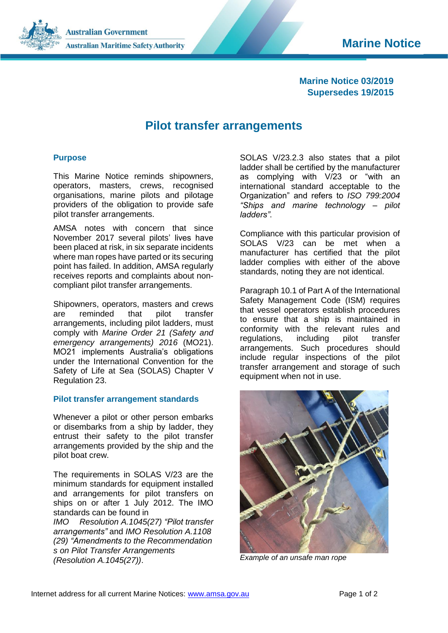**Marine Notice**

**Australian Government Australian Maritime Safety Authority** 



# **Pilot transfer arrangements**

## **Purpose**

This Marine Notice reminds shipowners, operators, masters, crews, recognised organisations, marine pilots and pilotage providers of the obligation to provide safe pilot transfer arrangements.

AMSA notes with concern that since November 2017 several pilots' lives have been placed at risk, in six separate incidents where man ropes have parted or its securing point has failed. In addition, AMSA regularly receives reports and complaints about noncompliant pilot transfer arrangements.

Shipowners, operators, masters and crews are reminded that pilot transfer arrangements, including pilot ladders, must comply with *Marine Order 21 (Safety and emergency arrangements) 2016* (MO21). MO21 implements Australia's obligations under the International Convention for the Safety of Life at Sea (SOLAS) Chapter V Regulation 23.

## **Pilot transfer arrangement standards**

Whenever a pilot or other person embarks or disembarks from a ship by ladder, they entrust their safety to the pilot transfer arrangements provided by the ship and the pilot boat crew.

The requirements in SOLAS V/23 are the minimum standards for equipment installed and arrangements for pilot transfers on ships on or after 1 July 2012. The IMO standards can be found in

*IMO Resolution A.1045(27) "Pilot transfer arrangements"* and *IMO Resolution A.1108 (29) "Amendments to the Recommendation s on Pilot Transfer Arrangements (Resolution A.1045(27))*.

SOLAS V/23.2.3 also states that a pilot ladder shall be certified by the manufacturer as complying with V/23 or "with an international standard acceptable to the Organization" and refers to *ISO 799:2004 "Ships and marine technology – pilot ladders"*.

Compliance with this particular provision of SOLAS V/23 can be met when a manufacturer has certified that the pilot ladder complies with either of the above standards, noting they are not identical.

Paragraph 10.1 of Part A of the International Safety Management Code (ISM) requires that vessel operators establish procedures to ensure that a ship is maintained in conformity with the relevant rules and regulations, including pilot transfer arrangements. Such procedures should include regular inspections of the pilot transfer arrangement and storage of such equipment when not in use.



*Example of an unsafe man rope*